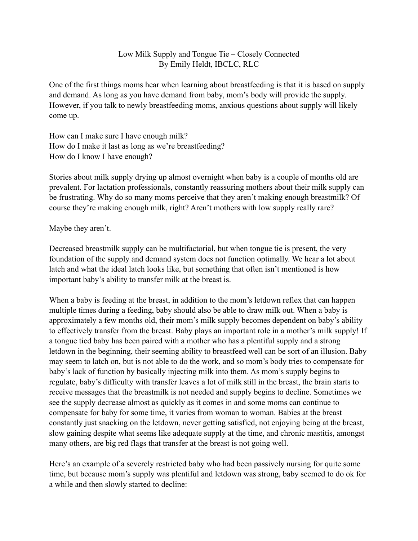## Low Milk Supply and Tongue Tie – Closely Connected By Emily Heldt, IBCLC, RLC

One of the first things moms hear when learning about breastfeeding is that it is based on supply and demand. As long as you have demand from baby, mom's body will provide the supply. However, if you talk to newly breastfeeding moms, anxious questions about supply will likely come up.

How can I make sure I have enough milk? How do I make it last as long as we're breastfeeding? How do I know I have enough?

Stories about milk supply drying up almost overnight when baby is a couple of months old are prevalent. For lactation professionals, constantly reassuring mothers about their milk supply can be frustrating. Why do so many moms perceive that they aren't making enough breastmilk? Of course they're making enough milk, right? Aren't mothers with low supply really rare?

Maybe they aren't.

Decreased breastmilk supply can be multifactorial, but when tongue tie is present, the very foundation of the supply and demand system does not function optimally. We hear a lot about latch and what the ideal latch looks like, but something that often isn't mentioned is how important baby's ability to transfer milk at the breast is.

When a baby is feeding at the breast, in addition to the mom's letdown reflex that can happen multiple times during a feeding, baby should also be able to draw milk out. When a baby is approximately a few months old, their mom's milk supply becomes dependent on baby's ability to effectively transfer from the breast. Baby plays an important role in a mother's milk supply! If a tongue tied baby has been paired with a mother who has a plentiful supply and a strong letdown in the beginning, their seeming ability to breastfeed well can be sort of an illusion. Baby may seem to latch on, but is not able to do the work, and so mom's body tries to compensate for baby's lack of function by basically injecting milk into them. As mom's supply begins to regulate, baby's difficulty with transfer leaves a lot of milk still in the breast, the brain starts to receive messages that the breastmilk is not needed and supply begins to decline. Sometimes we see the supply decrease almost as quickly as it comes in and some moms can continue to compensate for baby for some time, it varies from woman to woman. Babies at the breast constantly just snacking on the letdown, never getting satisfied, not enjoying being at the breast, slow gaining despite what seems like adequate supply at the time, and chronic mastitis, amongst many others, are big red flags that transfer at the breast is not going well.

Here's an example of a severely restricted baby who had been passively nursing for quite some time, but because mom's supply was plentiful and letdown was strong, baby seemed to do ok for a while and then slowly started to decline: